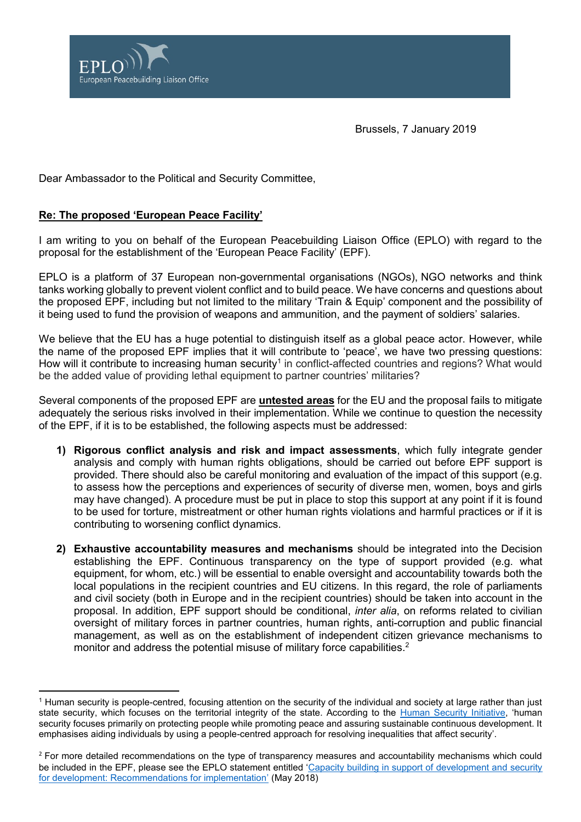

Brussels, 7 January 2019

Dear Ambassador to the Political and Security Committee,

## **Re: The proposed 'European Peace Facility'**

I am writing to you on behalf of the European Peacebuilding Liaison Office (EPLO) with regard to the proposal for the establishment of the 'European Peace Facility' (EPF).

EPLO is a platform of 37 European non-governmental organisations (NGOs), NGO networks and think tanks working globally to prevent violent conflict and to build peace. We have concerns and questions about the proposed EPF, including but not limited to the military 'Train & Equip' component and the possibility of it being used to fund the provision of weapons and ammunition, and the payment of soldiers' salaries.

We believe that the EU has a huge potential to distinguish itself as a global peace actor. However, while the name of the proposed EPF implies that it will contribute to 'peace', we have two pressing questions: How will it contribute to increasing human security<sup>1</sup> in conflict-affected countries and regions? What would be the added value of providing lethal equipment to partner countries' militaries?

Several components of the proposed EPF are **untested areas** for the EU and the proposal fails to mitigate adequately the serious risks involved in their implementation. While we continue to question the necessity of the EPF, if it is to be established, the following aspects must be addressed:

- **1) Rigorous conflict analysis and risk and impact assessments**, which fully integrate gender analysis and comply with human rights obligations, should be carried out before EPF support is provided. There should also be careful monitoring and evaluation of the impact of this support (e.g. to assess how the perceptions and experiences of security of diverse men, women, boys and girls may have changed). A procedure must be put in place to stop this support at any point if it is found to be used for torture, mistreatment or other human rights violations and harmful practices or if it is contributing to worsening conflict dynamics.
- **2) Exhaustive accountability measures and mechanisms** should be integrated into the Decision establishing the EPF. Continuous transparency on the type of support provided (e.g. what equipment, for whom, etc.) will be essential to enable oversight and accountability towards both the local populations in the recipient countries and EU citizens. In this regard, the role of parliaments and civil society (both in Europe and in the recipient countries) should be taken into account in the proposal. In addition, EPF support should be conditional, *inter alia*, on reforms related to civilian oversight of military forces in partner countries, human rights, anti-corruption and public financial management, as well as on the establishment of independent citizen grievance mechanisms to monitor and address the potential misuse of military force capabilities.<sup>2</sup>

<sup>-</sup><sup>1</sup> Human security is people-centred, focusing attention on the security of the individual and society at large rather than just state security, which focuses on the territorial integrity of the state. According to the [Human Security Initiative](http://www.humansecurityinitiative.org/definition-human-security), 'human security focuses primarily on protecting people while promoting peace and assuring sustainable continuous development. It emphasises aiding individuals by using a people-centred approach for resolving inequalities that affect security'.

<sup>&</sup>lt;sup>2</sup> For more detailed recommendations on the type of transparency measures and accountability mechanisms which could be included in the EPF, please see the EPLO statement entitled '[Capacity building in support of development and security](http://eplo.org/wp-content/uploads/2018/05/EPLO_Statement_on_CBSD.pdf)  [for development: Recommendations for implementation](http://eplo.org/wp-content/uploads/2018/05/EPLO_Statement_on_CBSD.pdf)' (May 2018)